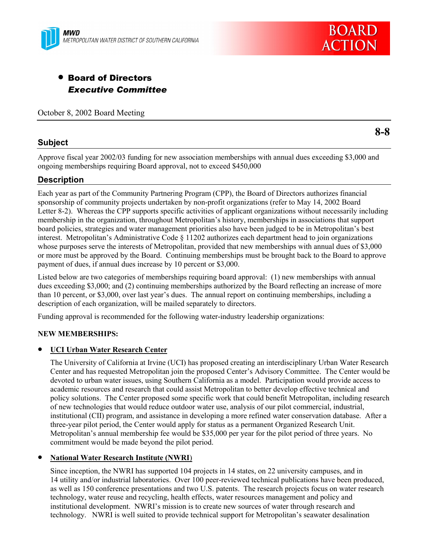



# • Board of Directors *Executive Committee*

October 8, 2002 Board Meeting

# **Subject**

**8-8**

Approve fiscal year 2002/03 funding for new association memberships with annual dues exceeding \$3,000 and ongoing memberships requiring Board approval, not to exceed \$450,000

# **Description**

Each year as part of the Community Partnering Program (CPP), the Board of Directors authorizes financial sponsorship of community projects undertaken by non-profit organizations (refer to May 14, 2002 Board Letter 8-2). Whereas the CPP supports specific activities of applicant organizations without necessarily including membership in the organization, throughout Metropolitanís history, memberships in associations that support board policies, strategies and water management priorities also have been judged to be in Metropolitanís best interest. Metropolitan's Administrative Code  $\S$  11202 authorizes each department head to join organizations whose purposes serve the interests of Metropolitan, provided that new memberships with annual dues of \$3,000 or more must be approved by the Board. Continuing memberships must be brought back to the Board to approve payment of dues, if annual dues increase by 10 percent or \$3,000.

Listed below are two categories of memberships requiring board approval: (1) new memberships with annual dues exceeding \$3,000; and (2) continuing memberships authorized by the Board reflecting an increase of more than 10 percent, or \$3,000, over last year's dues. The annual report on continuing memberships, including a description of each organization, will be mailed separately to directors.

Funding approval is recommended for the following water-industry leadership organizations:

## **NEW MEMBERSHIPS:**

## • **UCI Urban Water Research Center**

The University of California at Irvine (UCI) has proposed creating an interdisciplinary Urban Water Research Center and has requested Metropolitan join the proposed Center's Advisory Committee. The Center would be devoted to urban water issues, using Southern California as a model. Participation would provide access to academic resources and research that could assist Metropolitan to better develop effective technical and policy solutions. The Center proposed some specific work that could benefit Metropolitan, including research of new technologies that would reduce outdoor water use, analysis of our pilot commercial, industrial, institutional (CII) program, and assistance in developing a more refined water conservation database. After a three-year pilot period, the Center would apply for status as a permanent Organized Research Unit. Metropolitan's annual membership fee would be \$35,000 per year for the pilot period of three years. No commitment would be made beyond the pilot period.

## • **National Water Research Institute (NWRI**)

Since inception, the NWRI has supported 104 projects in 14 states, on 22 university campuses, and in 14 utility and/or industrial laboratories. Over 100 peer-reviewed technical publications have been produced, as well as 150 conference presentations and two U.S. patents. The research projects focus on water research technology, water reuse and recycling, health effects, water resources management and policy and institutional development. NWRI's mission is to create new sources of water through research and technology. NWRI is well suited to provide technical support for Metropolitan's seawater desalination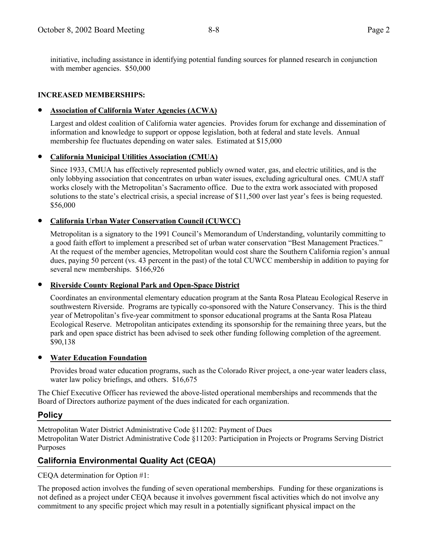initiative, including assistance in identifying potential funding sources for planned research in conjunction with member agencies. \$50,000

# **INCREASED MEMBERSHIPS:**

## • **Association of California Water Agencies (ACWA)**

Largest and oldest coalition of California water agencies. Provides forum for exchange and dissemination of information and knowledge to support or oppose legislation, both at federal and state levels. Annual membership fee fluctuates depending on water sales. Estimated at \$15,000

# • **California Municipal Utilities Association (CMUA)**

Since 1933, CMUA has effectively represented publicly owned water, gas, and electric utilities, and is the only lobbying association that concentrates on urban water issues, excluding agricultural ones. CMUA staff works closely with the Metropolitan's Sacramento office. Due to the extra work associated with proposed solutions to the state's electrical crisis, a special increase of \$11,500 over last year's fees is being requested. \$56,000

# • **California Urban Water Conservation Council (CUWCC)**

Metropolitan is a signatory to the 1991 Council's Memorandum of Understanding, voluntarily committing to a good faith effort to implement a prescribed set of urban water conservation "Best Management Practices." At the request of the member agencies, Metropolitan would cost share the Southern California region's annual dues, paying 50 percent (vs. 43 percent in the past) of the total CUWCC membership in addition to paying for several new memberships. \$166,926

## • **Riverside County Regional Park and Open-Space District**

Coordinates an environmental elementary education program at the Santa Rosa Plateau Ecological Reserve in southwestern Riverside. Programs are typically co-sponsored with the Nature Conservancy. This is the third year of Metropolitanís five-year commitment to sponsor educational programs at the Santa Rosa Plateau Ecological Reserve. Metropolitan anticipates extending its sponsorship for the remaining three years, but the park and open space district has been advised to seek other funding following completion of the agreement. \$90,138

## • **Water Education Foundation**

Provides broad water education programs, such as the Colorado River project, a one-year water leaders class, water law policy briefings, and others. \$16,675

The Chief Executive Officer has reviewed the above-listed operational memberships and recommends that the Board of Directors authorize payment of the dues indicated for each organization.

# **Policy**

Metropolitan Water District Administrative Code ß11202: Payment of Dues Metropolitan Water District Administrative Code ß11203: Participation in Projects or Programs Serving District Purposes

# **California Environmental Quality Act (CEQA)**

CEQA determination for Option #1:

The proposed action involves the funding of seven operational memberships. Funding for these organizations is not defined as a project under CEQA because it involves government fiscal activities which do not involve any commitment to any specific project which may result in a potentially significant physical impact on the